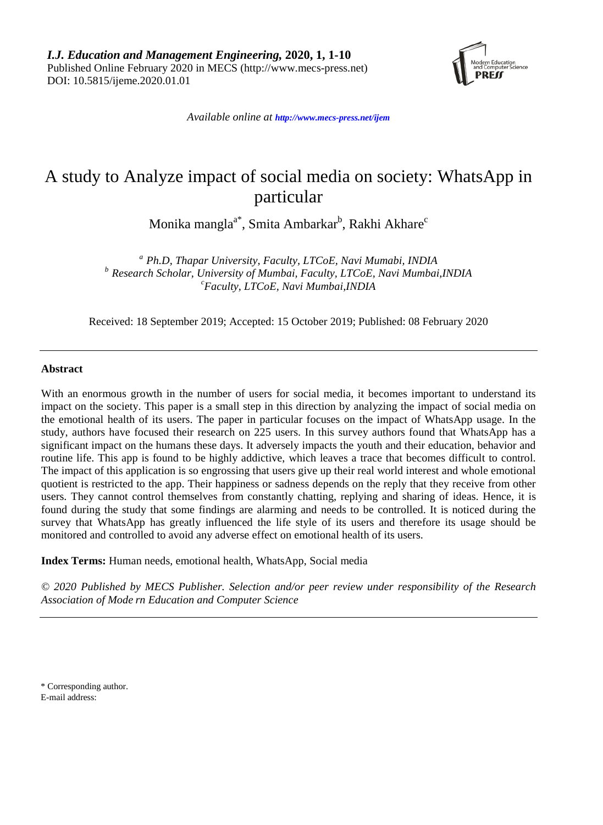

*Available online at <http://www.mecs-press.net/ijem>*

# A study to Analyze impact of social media on society: WhatsApp in particular

Monika mangla $^{\mathrm{a}^{\mathrm{*}}}$ , Smita Ambarkar $^{\mathrm{b}}$ , Rakhi Akhare $^{\mathrm{c}}$ 

*<sup>a</sup> Ph.D, Thapar University, Faculty, LTCoE, Navi Mumabi, INDIA <sup>b</sup> Research Scholar, University of Mumbai, Faculty, LTCoE, Navi Mumbai,INDIA <sup>c</sup> Faculty, LTCoE, Navi Mumbai,INDIA*

Received: 18 September 2019; Accepted: 15 October 2019; Published: 08 February 2020

## **Abstract**

With an enormous growth in the number of users for social media, it becomes important to understand its impact on the society. This paper is a small step in this direction by analyzing the impact of social media on the emotional health of its users. The paper in particular focuses on the impact of WhatsApp usage. In the study, authors have focused their research on 225 users. In this survey authors found that WhatsApp has a significant impact on the humans these days. It adversely impacts the youth and their education, behavior and routine life. This app is found to be highly addictive, which leaves a trace that becomes difficult to control. The impact of this application is so engrossing that users give up their real world interest and whole emotional quotient is restricted to the app. Their happiness or sadness depends on the reply that they receive from other users. They cannot control themselves from constantly chatting, replying and sharing of ideas. Hence, it is found during the study that some findings are alarming and needs to be controlled. It is noticed during the survey that WhatsApp has greatly influenced the life style of its users and therefore its usage should be monitored and controlled to avoid any adverse effect on emotional health of its users.

**Index Terms:** Human needs, emotional health, WhatsApp, Social media

*© 2020 Published by MECS Publisher. Selection and/or peer review under responsibility of the Research Association of Mode rn Education and Computer Science*

\* Corresponding author. E-mail address: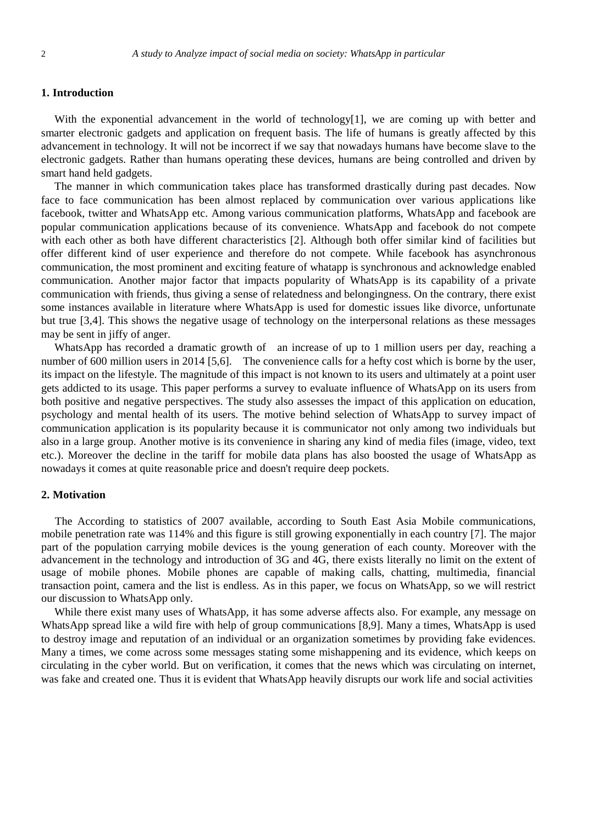## **1. Introduction**

With the exponential advancement in the world of technology[1], we are coming up with better and smarter electronic gadgets and application on frequent basis. The life of humans is greatly affected by this advancement in technology. It will not be incorrect if we say that nowadays humans have become slave to the electronic gadgets. Rather than humans operating these devices, humans are being controlled and driven by smart hand held gadgets.

The manner in which communication takes place has transformed drastically during past decades. Now face to face communication has been almost replaced by communication over various applications like facebook, twitter and WhatsApp etc. Among various communication platforms, WhatsApp and facebook are popular communication applications because of its convenience. WhatsApp and facebook do not compete with each other as both have different characteristics [2]. Although both offer similar kind of facilities but offer different kind of user experience and therefore do not compete. While facebook has asynchronous communication, the most prominent and exciting feature of whatapp is synchronous and acknowledge enabled communication. Another major factor that impacts popularity of WhatsApp is its capability of a private communication with friends, thus giving a sense of relatedness and belongingness. On the contrary, there exist some instances available in literature where WhatsApp is used for domestic issues like divorce, unfortunate but true [3,4]. This shows the negative usage of technology on the interpersonal relations as these messages may be sent in jiffy of anger.

WhatsApp has recorded a dramatic growth of an increase of up to 1 million users per day, reaching a number of 600 million users in 2014 [5,6]. The convenience calls for a hefty cost which is borne by the user, its impact on the lifestyle. The magnitude of this impact is not known to its users and ultimately at a point user gets addicted to its usage. This paper performs a survey to evaluate influence of WhatsApp on its users from both positive and negative perspectives. The study also assesses the impact of this application on education, psychology and mental health of its users. The motive behind selection of WhatsApp to survey impact of communication application is its popularity because it is communicator not only among two individuals but also in a large group. Another motive is its convenience in sharing any kind of media files (image, video, text etc.). Moreover the decline in the tariff for mobile data plans has also boosted the usage of WhatsApp as nowadays it comes at quite reasonable price and doesn't require deep pockets.

## **2. Motivation**

The According to statistics of 2007 available, according to South East Asia Mobile communications, mobile penetration rate was 114% and this figure is still growing exponentially in each country [7]. The major part of the population carrying mobile devices is the young generation of each county. Moreover with the advancement in the technology and introduction of 3G and 4G, there exists literally no limit on the extent of usage of mobile phones. Mobile phones are capable of making calls, chatting, multimedia, financial transaction point, camera and the list is endless. As in this paper, we focus on WhatsApp, so we will restrict our discussion to WhatsApp only.

While there exist many uses of WhatsApp, it has some adverse affects also. For example, any message on WhatsApp spread like a wild fire with help of group communications [8,9]. Many a times, WhatsApp is used to destroy image and reputation of an individual or an organization sometimes by providing fake evidences. Many a times, we come across some messages stating some mishappening and its evidence, which keeps on circulating in the cyber world. But on verification, it comes that the news which was circulating on internet, was fake and created one. Thus it is evident that WhatsApp heavily disrupts our work life and social activities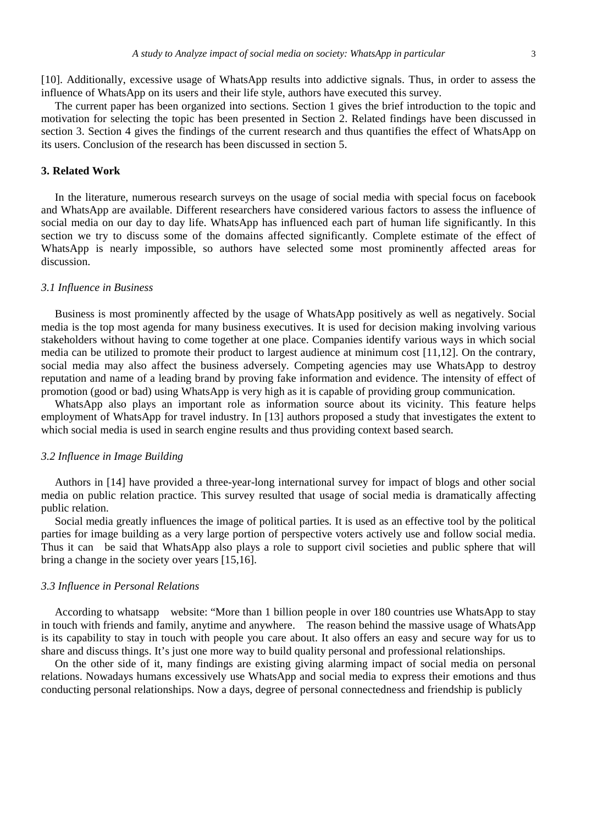[10]. Additionally, excessive usage of WhatsApp results into addictive signals. Thus, in order to assess the influence of WhatsApp on its users and their life style, authors have executed this survey.

The current paper has been organized into sections. Section 1 gives the brief introduction to the topic and motivation for selecting the topic has been presented in Section 2. Related findings have been discussed in section 3. Section 4 gives the findings of the current research and thus quantifies the effect of WhatsApp on its users. Conclusion of the research has been discussed in section 5.

## **3. Related Work**

In the literature, numerous research surveys on the usage of social media with special focus on facebook and WhatsApp are available. Different researchers have considered various factors to assess the influence of social media on our day to day life. WhatsApp has influenced each part of human life significantly. In this section we try to discuss some of the domains affected significantly. Complete estimate of the effect of WhatsApp is nearly impossible, so authors have selected some most prominently affected areas for discussion.

### *3.1 Influence in Business*

Business is most prominently affected by the usage of WhatsApp positively as well as negatively. Social media is the top most agenda for many business executives. It is used for decision making involving various stakeholders without having to come together at one place. Companies identify various ways in which social media can be utilized to promote their product to largest audience at minimum cost [11,12]. On the contrary, social media may also affect the business adversely. Competing agencies may use WhatsApp to destroy reputation and name of a leading brand by proving fake information and evidence. The intensity of effect of promotion (good or bad) using WhatsApp is very high as it is capable of providing group communication.

WhatsApp also plays an important role as information source about its vicinity. This feature helps employment of WhatsApp for travel industry. In [13] authors proposed a study that investigates the extent to which social media is used in search engine results and thus providing context based search.

#### *3.2 Influence in Image Building*

Authors in [14] have provided a three-year-long international survey for impact of blogs and other social media on public relation practice. This survey resulted that usage of social media is dramatically affecting public relation.

Social media greatly influences the image of political parties. It is used as an effective tool by the political parties for image building as a very large portion of perspective voters actively use and follow social media. Thus it can be said that WhatsApp also plays a role to support civil societies and public sphere that will bring a change in the society over years [15,16].

#### *3.3 Influence in Personal Relations*

According to whatsapp website: "More than 1 billion people in over 180 countries use WhatsApp to stay in touch with friends and family, anytime and anywhere. The reason behind the massive usage of WhatsApp is its capability to stay in touch with people you care about. It also offers an easy and secure way for us to share and discuss things. It's just one more way to build quality personal and professional relationships.

On the other side of it, many findings are existing giving alarming impact of social media on personal relations. Nowadays humans excessively use WhatsApp and social media to express their emotions and thus conducting personal relationships. Now a days, degree of personal connectedness and friendship is publicly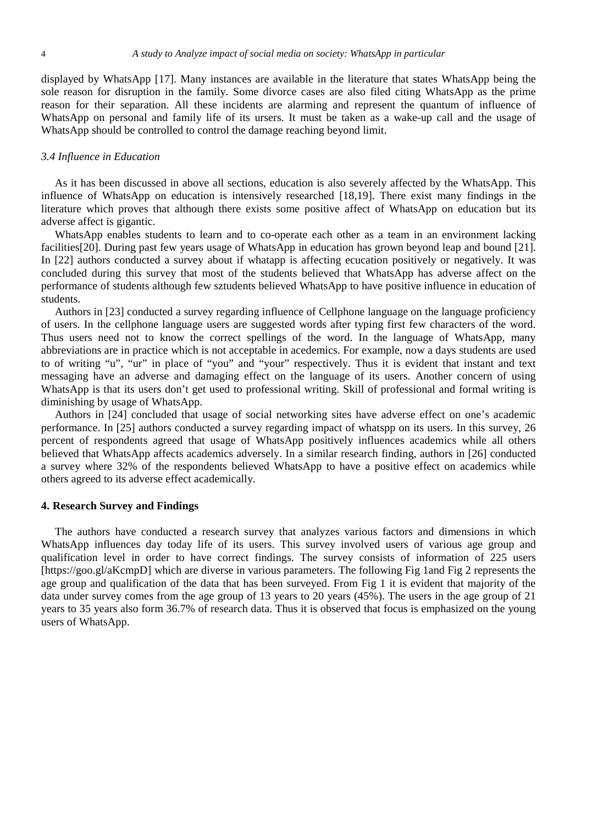displayed by WhatsApp [17]. Many instances are available in the literature that states WhatsApp being the sole reason for disruption in the family. Some divorce cases are also filed citing WhatsApp as the prime reason for their separation. All these incidents are alarming and represent the quantum of influence of WhatsApp on personal and family life of its ursers. It must be taken as a wake-up call and the usage of WhatsApp should be controlled to control the damage reaching beyond limit.

## *3.4 Influence in Education*

As it has been discussed in above all sections, education is also severely affected by the WhatsApp. This influence of WhatsApp on education is intensively researched [18,19]. There exist many findings in the literature which proves that although there exists some positive affect of WhatsApp on education but its adverse affect is gigantic.

WhatsApp enables students to learn and to co-operate each other as a team in an environment lacking facilities[20]. During past few years usage of WhatsApp in education has grown beyond leap and bound [21]. In [22] authors conducted a survey about if whatapp is affecting ecucation positively or negatively. It was concluded during this survey that most of the students believed that WhatsApp has adverse affect on the performance of students although few sztudents believed WhatsApp to have positive influence in education of students.

Authors in [23] conducted a survey regarding influence of Cellphone language on the language proficiency of users. In the cellphone language users are suggested words after typing first few characters of the word. Thus users need not to know the correct spellings of the word. In the language of WhatsApp, many abbreviations are in practice which is not acceptable in acedemics. For example, now a days students are used to of writing "u", "ur" in place of "you" and "your" respectively. Thus it is evident that instant and text messaging have an adverse and damaging effect on the language of its users. Another concern of using WhatsApp is that its users don't get used to professional writing. Skill of professional and formal writing is diminishing by usage of WhatsApp.

Authors in [24] concluded that usage of social networking sites have adverse effect on one's academic performance. In [25] authors conducted a survey regarding impact of whatspp on its users. In this survey, 26 percent of respondents agreed that usage of WhatsApp positively influences academics while all others believed that WhatsApp affects academics adversely. In a similar research finding, authors in [26] conducted a survey where 32% of the respondents believed WhatsApp to have a positive effect on academics while others agreed to its adverse effect academically.

#### **4. Research Survey and Findings**

The authors have conducted a research survey that analyzes various factors and dimensions in which WhatsApp influences day today life of its users. This survey involved users of various age group and qualification level in order to have correct findings. The survey consists of information of 225 users [https://goo.gl/aKcmpD] which are diverse in various parameters. The following Fig 1and Fig 2 represents the age group and qualification of the data that has been surveyed. From Fig 1 it is evident that majority of the data under survey comes from the age group of 13 years to 20 years (45%). The users in the age group of 21 years to 35 years also form 36.7% of research data. Thus it is observed that focus is emphasized on the young users of WhatsApp.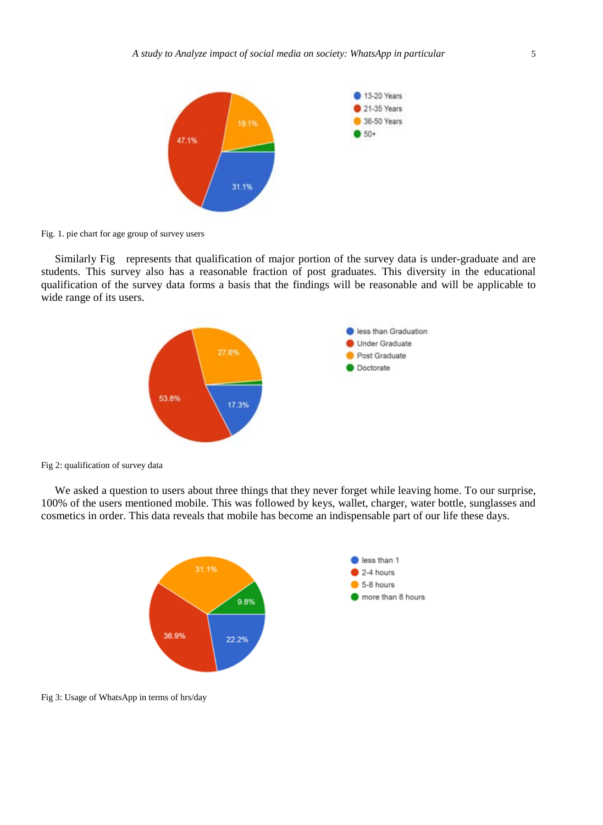

Fig. 1. pie chart for age group of survey users

Similarly [Fig](#page-4-0) represents that qualification of major portion of the survey data is under-graduate and are students. This survey also has a reasonable fraction of post graduates. This diversity in the educational qualification of the survey data forms a basis that the findings will be reasonable and will be applicable to wide range of its users.



<span id="page-4-0"></span>Fig 2: qualification of survey data

We asked a question to users about three things that they never forget while leaving home. To our surprise, 100% of the users mentioned mobile. This was followed by keys, wallet, charger, water bottle, sunglasses and cosmetics in order. This data reveals that mobile has become an indispensable part of our life these days.



Fig 3: Usage of WhatsApp in terms of hrs/day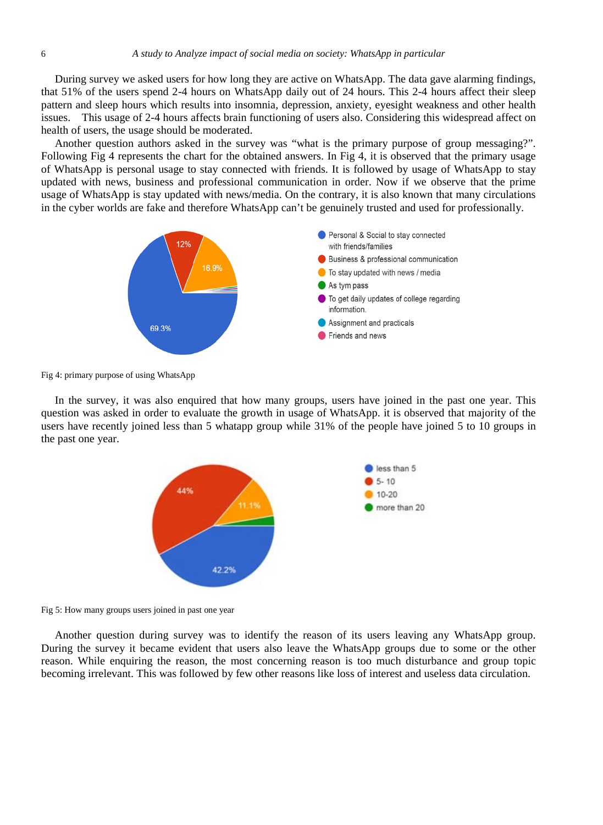During survey we asked users for how long they are active on WhatsApp. The data gave alarming findings, that 51% of the users spend 2-4 hours on WhatsApp daily out of 24 hours. This 2-4 hours affect their sleep pattern and sleep hours which results into insomnia, depression, anxiety, eyesight weakness and other health issues. This usage of 2-4 hours affects brain functioning of users also. Considering this widespread affect on health of users, the usage should be moderated.

Another question authors asked in the survey was "what is the primary purpose of group messaging?". Following Fig 4 represents the chart for the obtained answers. In Fig 4, it is observed that the primary usage of WhatsApp is personal usage to stay connected with friends. It is followed by usage of WhatsApp to stay updated with news, business and professional communication in order. Now if we observe that the prime usage of WhatsApp is stay updated with news/media. On the contrary, it is also known that many circulations in the cyber worlds are fake and therefore WhatsApp can't be genuinely trusted and used for professionally.



Fig 4: primary purpose of using WhatsApp

In the survey, it was also enquired that how many groups, users have joined in the past one year. This question was asked in order to evaluate the growth in usage of WhatsApp. it is observed that majority of the users have recently joined less than 5 whatapp group while 31% of the people have joined 5 to 10 groups in the past one year.



Fig 5: How many groups users joined in past one year

Another question during survey was to identify the reason of its users leaving any WhatsApp group. During the survey it became evident that users also leave the WhatsApp groups due to some or the other reason. While enquiring the reason, the most concerning reason is too much disturbance and group topic becoming irrelevant. This was followed by few other reasons like loss of interest and useless data circulation.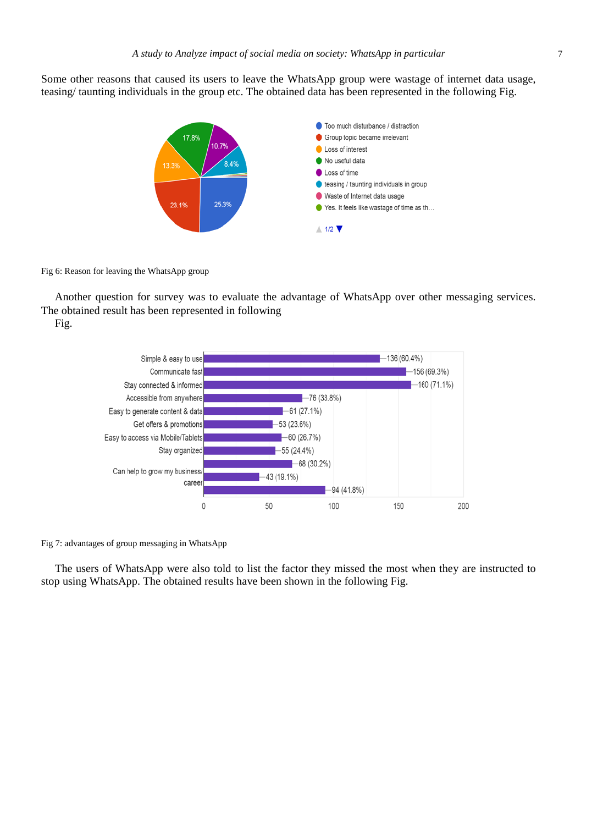Some other reasons that caused its users to leave the WhatsApp group were wastage of internet data usage, teasing/ taunting individuals in the group etc. The obtained data has been represented in the following [Fig.](#page-6-0)



<span id="page-6-0"></span>Fig 6: Reason for leaving the WhatsApp group

Another question for survey was to evaluate the advantage of WhatsApp over other messaging services. The obtained result has been represented in following

[Fig.](#page-6-1)

<span id="page-6-1"></span>

Fig 7: advantages of group messaging in WhatsApp

The users of WhatsApp were also told to list the factor they missed the most when they are instructed to stop using WhatsApp. The obtained results have been shown in the following Fig.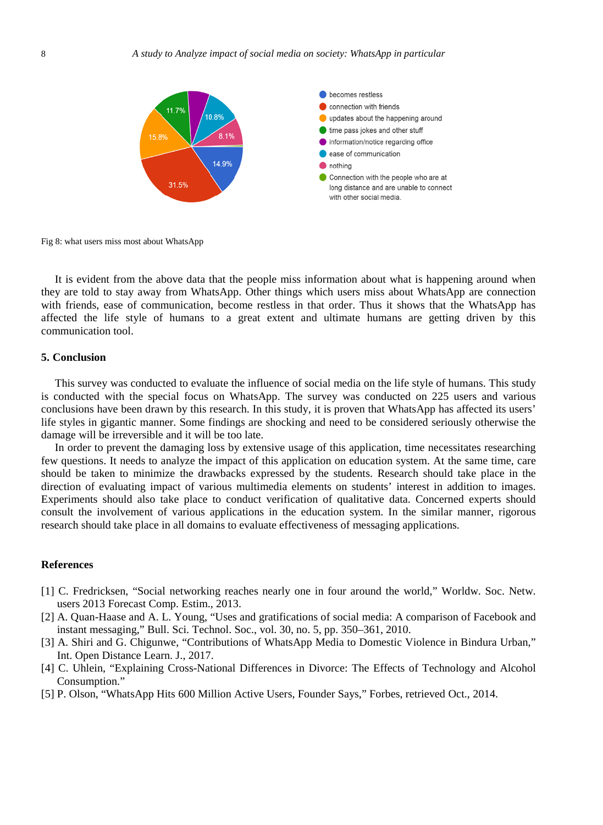

Fig 8: what users miss most about WhatsApp

It is evident from the above data that the people miss information about what is happening around when they are told to stay away from WhatsApp. Other things which users miss about WhatsApp are connection with friends, ease of communication, become restless in that order. Thus it shows that the WhatsApp has affected the life style of humans to a great extent and ultimate humans are getting driven by this communication tool.

#### **5. Conclusion**

This survey was conducted to evaluate the influence of social media on the life style of humans. This study is conducted with the special focus on WhatsApp. The survey was conducted on 225 users and various conclusions have been drawn by this research. In this study, it is proven that WhatsApp has affected its users' life styles in gigantic manner. Some findings are shocking and need to be considered seriously otherwise the damage will be irreversible and it will be too late.

In order to prevent the damaging loss by extensive usage of this application, time necessitates researching few questions. It needs to analyze the impact of this application on education system. At the same time, care should be taken to minimize the drawbacks expressed by the students. Research should take place in the direction of evaluating impact of various multimedia elements on students' interest in addition to images. Experiments should also take place to conduct verification of qualitative data. Concerned experts should consult the involvement of various applications in the education system. In the similar manner, rigorous research should take place in all domains to evaluate effectiveness of messaging applications.

## **References**

- [1] C. Fredricksen, "Social networking reaches nearly one in four around the world," Worldw. Soc. Netw. users 2013 Forecast Comp. Estim., 2013.
- [2] A. Quan-Haase and A. L. Young, "Uses and gratifications of social media: A comparison of Facebook and instant messaging," Bull. Sci. Technol. Soc., vol. 30, no. 5, pp. 350–361, 2010.
- [3] A. Shiri and G. Chigunwe, "Contributions of WhatsApp Media to Domestic Violence in Bindura Urban," Int. Open Distance Learn. J., 2017.
- [4] C. Uhlein, "Explaining Cross-National Differences in Divorce: The Effects of Technology and Alcohol Consumption."
- [5] P. Olson, "WhatsApp Hits 600 Million Active Users, Founder Says," Forbes, retrieved Oct., 2014.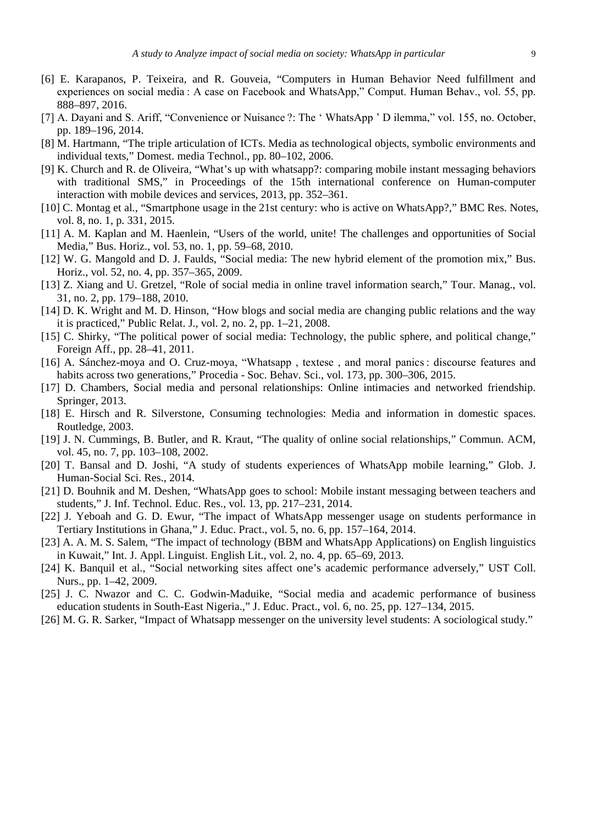- [6] E. Karapanos, P. Teixeira, and R. Gouveia, "Computers in Human Behavior Need fulfillment and experiences on social media : A case on Facebook and WhatsApp," Comput. Human Behav., vol. 55, pp. 888–897, 2016.
- [7] A. Dayani and S. Ariff, "Convenience or Nuisance ?: The ' WhatsApp ' D ilemma," vol. 155, no. October, pp. 189–196, 2014.
- [8] M. Hartmann, "The triple articulation of ICTs. Media as technological objects, symbolic environments and individual texts," Domest. media Technol., pp. 80–102, 2006.
- [9] K. Church and R. de Oliveira, "What's up with whatsapp?: comparing mobile instant messaging behaviors with traditional SMS," in Proceedings of the 15th international conference on Human-computer interaction with mobile devices and services, 2013, pp. 352–361.
- [10] C. Montag et al., "Smartphone usage in the 21st century: who is active on WhatsApp?," BMC Res. Notes, vol. 8, no. 1, p. 331, 2015.
- [11] A. M. Kaplan and M. Haenlein, "Users of the world, unite! The challenges and opportunities of Social Media," Bus. Horiz., vol. 53, no. 1, pp. 59–68, 2010.
- [12] W. G. Mangold and D. J. Faulds, "Social media: The new hybrid element of the promotion mix," Bus. Horiz., vol. 52, no. 4, pp. 357–365, 2009.
- [13] Z. Xiang and U. Gretzel, "Role of social media in online travel information search," Tour. Manag., vol. 31, no. 2, pp. 179–188, 2010.
- [14] D. K. Wright and M. D. Hinson, "How blogs and social media are changing public relations and the way it is practiced," Public Relat. J., vol. 2, no. 2, pp. 1–21, 2008.
- [15] C. Shirky, "The political power of social media: Technology, the public sphere, and political change," Foreign Aff., pp. 28–41, 2011.
- [16] A. Sánchez-moya and O. Cruz-moya, "Whatsapp , textese , and moral panics : discourse features and habits across two generations," Procedia - Soc. Behav. Sci., vol. 173, pp. 300–306, 2015.
- [17] D. Chambers, Social media and personal relationships: Online intimacies and networked friendship. Springer, 2013.
- [18] E. Hirsch and R. Silverstone, Consuming technologies: Media and information in domestic spaces. Routledge, 2003.
- [19] J. N. Cummings, B. Butler, and R. Kraut, "The quality of online social relationships," Commun. ACM, vol. 45, no. 7, pp. 103–108, 2002.
- [20] T. Bansal and D. Joshi, "A study of students experiences of WhatsApp mobile learning," Glob. J. Human-Social Sci. Res., 2014.
- [21] D. Bouhnik and M. Deshen, "WhatsApp goes to school: Mobile instant messaging between teachers and students," J. Inf. Technol. Educ. Res., vol. 13, pp. 217–231, 2014.
- [22] J. Yeboah and G. D. Ewur, "The impact of WhatsApp messenger usage on students performance in Tertiary Institutions in Ghana," J. Educ. Pract., vol. 5, no. 6, pp. 157–164, 2014.
- [23] A. A. M. S. Salem, "The impact of technology (BBM and WhatsApp Applications) on English linguistics in Kuwait," Int. J. Appl. Linguist. English Lit., vol. 2, no. 4, pp. 65–69, 2013.
- [24] K. Banquil et al., "Social networking sites affect one's academic performance adversely," UST Coll. Nurs., pp. 1–42, 2009.
- [25] J. C. Nwazor and C. C. Godwin-Maduike, "Social media and academic performance of business education students in South-East Nigeria.," J. Educ. Pract., vol. 6, no. 25, pp. 127–134, 2015.
- [26] M. G. R. Sarker, "Impact of Whatsapp messenger on the university level students: A sociological study."